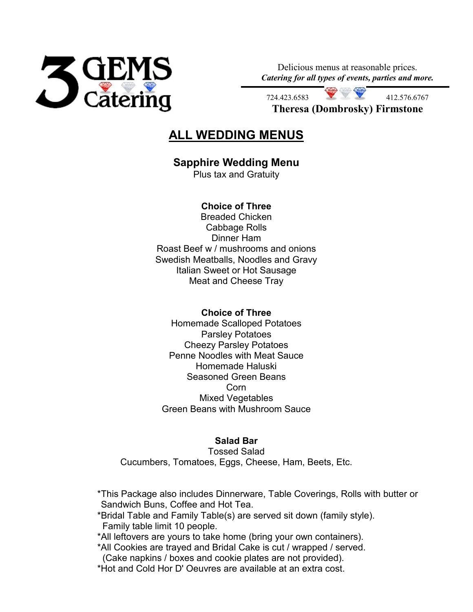

Delicious menus at reasonable prices. *Catering for all types of events, parties and more.*

412.576.6767 **Theresa (Dombrosky) Firmstone**

# **ALL WEDDING MENUS**

## **Sapphire Wedding Menu**

Plus tax and Gratuity

## **Choice of Three**

Breaded Chicken Cabbage Rolls Dinner Ham Roast Beef w / mushrooms and onions Swedish Meatballs, Noodles and Gravy Italian Sweet or Hot Sausage Meat and Cheese Tray

### **Choice of Three**

Homemade Scalloped Potatoes Parsley Potatoes Cheezy Parsley Potatoes Penne Noodles with Meat Sauce Homemade Haluski Seasoned Green Beans Corn Mixed Vegetables Green Beans with Mushroom Sauce

### **Salad Bar**

Tossed Salad Cucumbers, Tomatoes, Eggs, Cheese, Ham, Beets, Etc.

\*This Package also includes Dinnerware, Table Coverings, Rolls with butter or Sandwich Buns, Coffee and Hot Tea.

\*Bridal Table and Family Table(s) are served sit down (family style). Family table limit 10 people.

\*All leftovers are yours to take home (bring your own containers).

\*All Cookies are trayed and Bridal Cake is cut / wrapped / served.

(Cake napkins / boxes and cookie plates are not provided).

\*Hot and Cold Hor D' Oeuvres are available at an extra cost.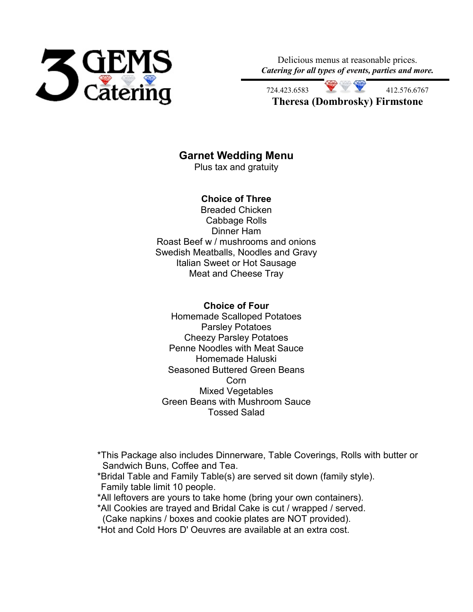

Delicious menus at reasonable prices. *Catering for all types of events, parties and more.*

412.576.6767 **Theresa (Dombrosky) Firmstone**

## **Garnet Wedding Menu**

Plus tax and gratuity

### **Choice of Three**

Breaded Chicken Cabbage Rolls Dinner Ham Roast Beef w / mushrooms and onions Swedish Meatballs, Noodles and Gravy Italian Sweet or Hot Sausage Meat and Cheese Tray

#### **Choice of Four**

Homemade Scalloped Potatoes Parsley Potatoes Cheezy Parsley Potatoes Penne Noodles with Meat Sauce Homemade Haluski Seasoned Buttered Green Beans Corn Mixed Vegetables Green Beans with Mushroom Sauce Tossed Salad

\*This Package also includes Dinnerware, Table Coverings, Rolls with butter or Sandwich Buns, Coffee and Tea.

\*Bridal Table and Family Table(s) are served sit down (family style). Family table limit 10 people.

\*All leftovers are yours to take home (bring your own containers).

\*All Cookies are trayed and Bridal Cake is cut / wrapped / served.

(Cake napkins / boxes and cookie plates are NOT provided).

\*Hot and Cold Hors D' Oeuvres are available at an extra cost.